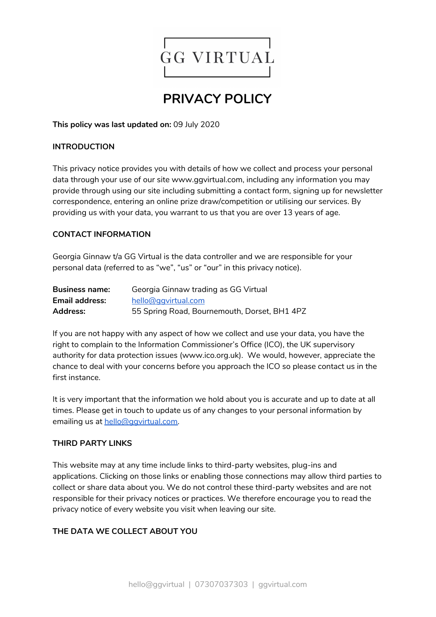

# **PRIVACY POLICY**

**This policy was last updated on:** 09 July 2020

#### **INTRODUCTION**

This privacy notice provides you with details of how we collect and process your personal data through your use of our site www.ggvirtual.com, including any information you may provide through using our site including submitting a contact form, signing up for newsletter correspondence, entering an online prize draw/competition or utilising our services. By providing us with your data, you warrant to us that you are over 13 years of age.

#### **CONTACT INFORMATION**

Georgia Ginnaw t/a GG Virtual is the data controller and we are responsible for your personal data (referred to as "we", "us" or "our" in this privacy notice).

| <b>Business name:</b> | Georgia Ginnaw trading as GG Virtual         |
|-----------------------|----------------------------------------------|
| <b>Email address:</b> | hello@ggyirtual.com                          |
| <b>Address:</b>       | 55 Spring Road, Bournemouth, Dorset, BH1 4PZ |

If you are not happy with any aspect of how we collect and use your data, you have the right to complain to the Information Commissioner's Office (ICO), the UK supervisory authority for data protection issues (www.ico.org.uk). We would, however, appreciate the chance to deal with your concerns before you approach the ICO so please contact us in the first instance.

It is very important that the information we hold about you is accurate and up to date at all times. Please get in touch to update us of any changes to your personal information by emailing us at hello@gqvirtual.com.

#### **THIRD PARTY LINKS**

This website may at any time include links to third-party websites, plug-ins and applications. Clicking on those links or enabling those connections may allow third parties to collect or share data about you. We do not control these third-party websites and are not responsible for their privacy notices or practices. We therefore encourage you to read the privacy notice of every website you visit when leaving our site.

# **THE DATA WE COLLECT ABOUT YOU**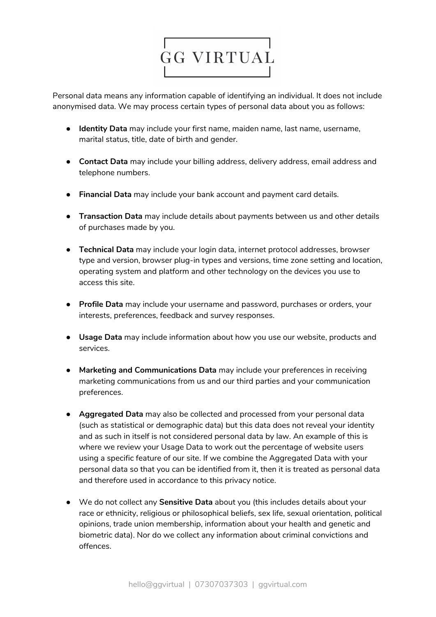

Personal data means any information capable of identifying an individual. It does not include anonymised data. We may process certain types of personal data about you as follows:

- **Identity Data** may include your first name, maiden name, last name, username, marital status, title, date of birth and gender.
- **Contact Data** may include your billing address, delivery address, email address and telephone numbers.
- **Financial Data** may include your bank account and payment card details.
- **Transaction Data** may include details about payments between us and other details of purchases made by you.
- **Technical Data** may include your login data, internet protocol addresses, browser type and version, browser plug-in types and versions, time zone setting and location, operating system and platform and other technology on the devices you use to access this site.
- **Profile Data** may include your username and password, purchases or orders, your interests, preferences, feedback and survey responses.
- **Usage Data** may include information about how you use our website, products and services.
- **Marketing and Communications Data** may include your preferences in receiving marketing communications from us and our third parties and your communication preferences.
- **Aggregated Data** may also be collected and processed from your personal data (such as statistical or demographic data) but this data does not reveal your identity and as such in itself is not considered personal data by law. An example of this is where we review your Usage Data to work out the percentage of website users using a specific feature of our site. If we combine the Aggregated Data with your personal data so that you can be identified from it, then it is treated as personal data and therefore used in accordance to this privacy notice.
- We do not collect any **Sensitive Data** about you (this includes details about your race or ethnicity, religious or philosophical beliefs, sex life, sexual orientation, political opinions, trade union membership, information about your health and genetic and biometric data). Nor do we collect any information about criminal convictions and offences.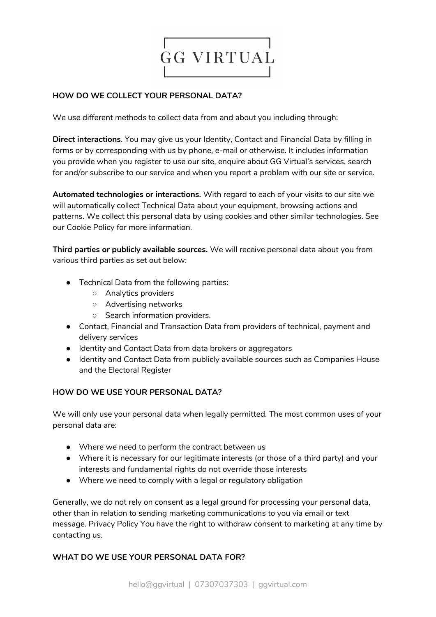

## **HOW DO WE COLLECT YOUR PERSONAL DATA?**

We use different methods to collect data from and about you including through:

**Direct interactions**. You may give us your Identity, Contact and Financial Data by filling in forms or by corresponding with us by phone, e-mail or otherwise. It includes information you provide when you register to use our site, enquire about GG Virtual's services, search for and/or subscribe to our service and when you report a problem with our site or service.

**Automated technologies or interactions.** With regard to each of your visits to our site we will automatically collect Technical Data about your equipment, browsing actions and patterns. We collect this personal data by using cookies and other similar technologies. See our Cookie Policy for more information.

**Third parties or publicly available sources.** We will receive personal data about you from various third parties as set out below:

- Technical Data from the following parties:
	- Analytics providers
	- Advertising networks
	- Search information providers.
- Contact, Financial and Transaction Data from providers of technical, payment and delivery services
- Identity and Contact Data from data brokers or aggregators
- Identity and Contact Data from publicly available sources such as Companies House and the Electoral Register

# **HOW DO WE USE YOUR PERSONAL DATA?**

We will only use your personal data when legally permitted. The most common uses of your personal data are:

- Where we need to perform the contract between us
- Where it is necessary for our legitimate interests (or those of a third party) and your interests and fundamental rights do not override those interests
- Where we need to comply with a legal or regulatory obligation

Generally, we do not rely on consent as a legal ground for processing your personal data, other than in relation to sending marketing communications to you via email or text message. Privacy Policy You have the right to withdraw consent to marketing at any time by contacting us.

# **WHAT DO WE USE YOUR PERSONAL DATA FOR?**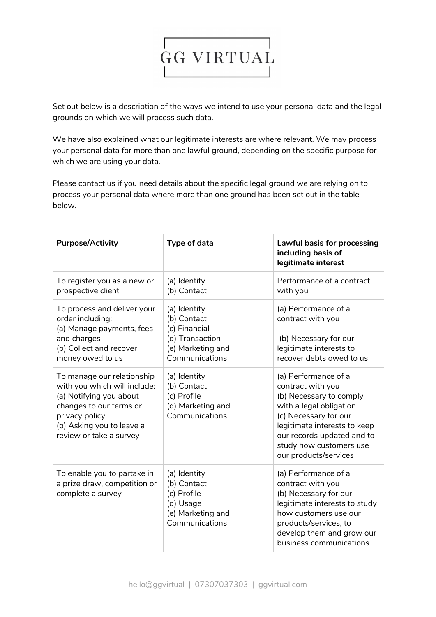

Set out below is a description of the ways we intend to use your personal data and the legal grounds on which we will process such data.

We have also explained what our legitimate interests are where relevant. We may process your personal data for more than one lawful ground, depending on the specific purpose for which we are using your data.

Please contact us if you need details about the specific legal ground we are relying on to process your personal data where more than one ground has been set out in the table below.

| <b>Purpose/Activity</b>                                                                                                                                                  | Type of data                                                                                                           | <b>Lawful basis for processing</b><br>including basis of<br>legitimate interest                                                                                                                                    |
|--------------------------------------------------------------------------------------------------------------------------------------------------------------------------|------------------------------------------------------------------------------------------------------------------------|--------------------------------------------------------------------------------------------------------------------------------------------------------------------------------------------------------------------|
| To register you as a new or<br>prospective client                                                                                                                        | (a) Identity<br>(b) Contact                                                                                            | Performance of a contract<br>with you                                                                                                                                                                              |
| To process and deliver your<br>order including:<br>(a) Manage payments, fees<br>and charges<br>(b) Collect and recover<br>money owed to us<br>To manage our relationship | (a) Identity<br>(b) Contact<br>(c) Financial<br>(d) Transaction<br>(e) Marketing and<br>Communications<br>(a) Identity | (a) Performance of a<br>contract with you<br>(b) Necessary for our<br>legitimate interests to<br>recover debts owed to us<br>(a) Performance of a                                                                  |
| with you which will include:<br>(a) Notifying you about<br>changes to our terms or<br>privacy policy<br>(b) Asking you to leave a<br>review or take a survey             | (b) Contact<br>(c) Profile<br>(d) Marketing and<br>Communications                                                      | contract with you<br>(b) Necessary to comply<br>with a legal obligation<br>(c) Necessary for our<br>legitimate interests to keep<br>our records updated and to<br>study how customers use<br>our products/services |
| To enable you to partake in<br>a prize draw, competition or<br>complete a survey                                                                                         | (a) Identity<br>(b) Contact<br>(c) Profile<br>(d) Usage<br>(e) Marketing and<br>Communications                         | (a) Performance of a<br>contract with you<br>(b) Necessary for our<br>legitimate interests to study<br>how customers use our<br>products/services, to<br>develop them and grow our<br>business communications      |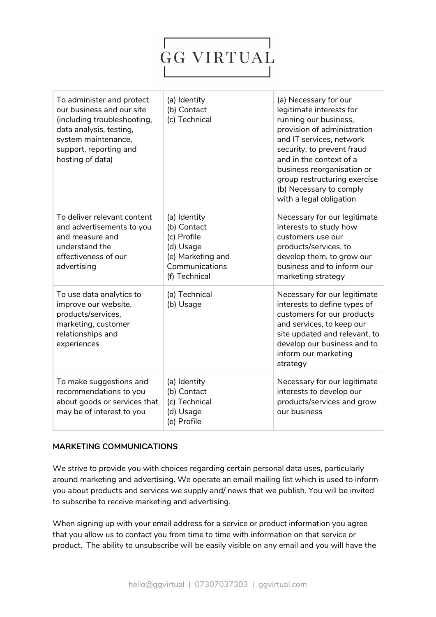# **GG VIRTUAL**

| To administer and protect<br>our business and our site<br>(including troubleshooting,<br>data analysis, testing,<br>system maintenance,<br>support, reporting and<br>hosting of data) | (a) Identity<br>(b) Contact<br>(c) Technical                                                                    | (a) Necessary for our<br>legitimate interests for<br>running our business,<br>provision of administration<br>and IT services, network<br>security, to prevent fraud<br>and in the context of a<br>business reorganisation or<br>group restructuring exercise<br>(b) Necessary to comply<br>with a legal obligation |
|---------------------------------------------------------------------------------------------------------------------------------------------------------------------------------------|-----------------------------------------------------------------------------------------------------------------|--------------------------------------------------------------------------------------------------------------------------------------------------------------------------------------------------------------------------------------------------------------------------------------------------------------------|
| To deliver relevant content<br>and advertisements to you<br>and measure and<br>understand the<br>effectiveness of our<br>advertising                                                  | (a) Identity<br>(b) Contact<br>(c) Profile<br>(d) Usage<br>(e) Marketing and<br>Communications<br>(f) Technical | Necessary for our legitimate<br>interests to study how<br>customers use our<br>products/services, to<br>develop them, to grow our<br>business and to inform our<br>marketing strategy                                                                                                                              |
| To use data analytics to<br>improve our website,<br>products/services,<br>marketing, customer<br>relationships and<br>experiences                                                     | (a) Technical<br>(b) Usage                                                                                      | Necessary for our legitimate<br>interests to define types of<br>customers for our products<br>and services, to keep our<br>site updated and relevant, to<br>develop our business and to<br>inform our marketing<br>strategy                                                                                        |
| To make suggestions and<br>recommendations to you<br>about goods or services that<br>may be of interest to you                                                                        | (a) Identity<br>(b) Contact<br>(c) Technical<br>(d) Usage<br>(e) Profile                                        | Necessary for our legitimate<br>interests to develop our<br>products/services and grow<br>our business                                                                                                                                                                                                             |

#### **MARKETING COMMUNICATIONS**

We strive to provide you with choices regarding certain personal data uses, particularly around marketing and advertising. We operate an email mailing list which is used to inform you about products and services we supply and/ news that we publish. You will be invited to subscribe to receive marketing and advertising.

When signing up with your email address for a service or product information you agree that you allow us to contact you from time to time with information on that service or product. The ability to unsubscribe will be easily visible on any email and you will have the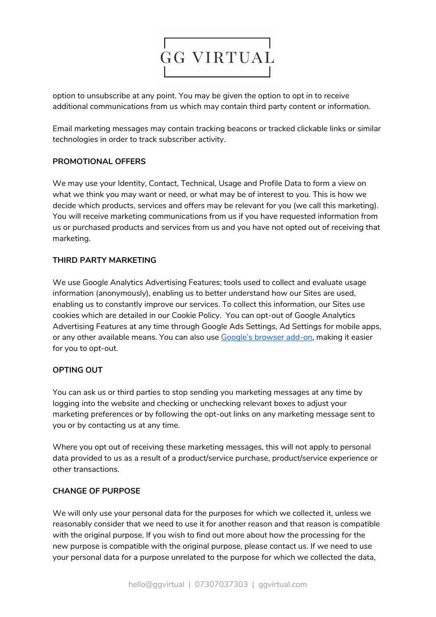

option to unsubscribe at any point. You may be given the option to opt in to receive additional communications from us which may contain third party content or information.

Email marketing messages may contain tracking beacons or tracked clickable links or similar technologies in order to track subscriber activity.

# **PROMOTIONAL OFFERS**

We may use your Identity, Contact, Technical, Usage and Profile Data to form a view on what we think you may want or need, or what may be of interest to you. This is how we decide which products, services and offers may be relevant for you (we call this marketing). You will receive marketing communications from us if you have requested information from us or purchased products and services from us and you have not opted out of receiving that marketing.

### **THIRD PARTY MARKETING**

We use Google Analytics Advertising Features; tools used to collect and evaluate usage information (anonymously), enabling us to better understand how our Sites are used, enabling us to constantly improve our services. To collect this information, our Sites use cookies which are detailed in our Cookie Policy. You can opt-out of Google Analytics Advertising Features at any time through Google Ads Settings, Ad Settings for mobile apps, or any other available means. You can also use [Google's](https://tools.google.com/dlpage/gaoptout) browser add-on, making it easier for you to opt-out.

# **OPTING OUT**

You can ask us or third parties to stop sending you marketing messages at any time by logging into the website and checking or unchecking relevant boxes to adjust your marketing preferences or by following the opt-out links on any marketing message sent to you or by contacting us at any time.

Where you opt out of receiving these marketing messages, this will not apply to personal data provided to us as a result of a product/service purchase, product/service experience or other transactions.

#### **CHANGE OF PURPOSE**

We will only use your personal data for the purposes for which we collected it, unless we reasonably consider that we need to use it for another reason and that reason is compatible with the original purpose. If you wish to find out more about how the processing for the new purpose is compatible with the original purpose, please contact us. If we need to use your personal data for a purpose unrelated to the purpose for which we collected the data,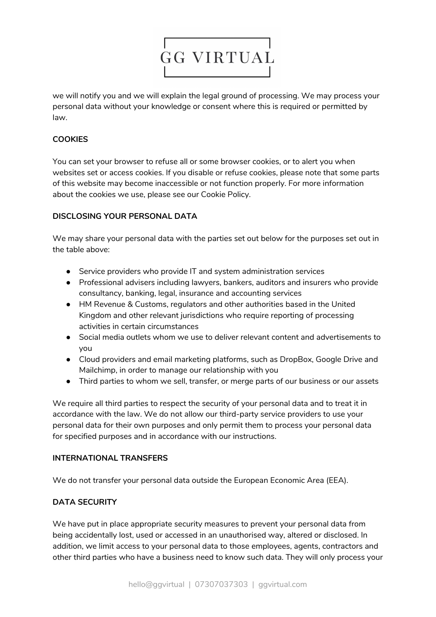

we will notify you and we will explain the legal ground of processing. We may process your personal data without your knowledge or consent where this is required or permitted by law.

# **COOKIES**

You can set your browser to refuse all or some browser cookies, or to alert you when websites set or access cookies. If you disable or refuse cookies, please note that some parts of this website may become inaccessible or not function properly. For more information about the cookies we use, please see our Cookie Policy.

### **DISCLOSING YOUR PERSONAL DATA**

We may share your personal data with the parties set out below for the purposes set out in the table above:

- Service providers who provide IT and system administration services
- Professional advisers including lawyers, bankers, auditors and insurers who provide consultancy, banking, legal, insurance and accounting services
- HM Revenue & Customs, regulators and other authorities based in the United Kingdom and other relevant jurisdictions who require reporting of processing activities in certain circumstances
- Social media outlets whom we use to deliver relevant content and advertisements to you
- Cloud providers and email marketing platforms, such as DropBox, Google Drive and Mailchimp, in order to manage our relationship with you
- Third parties to whom we sell, transfer, or merge parts of our business or our assets

We require all third parties to respect the security of your personal data and to treat it in accordance with the law. We do not allow our third-party service providers to use your personal data for their own purposes and only permit them to process your personal data for specified purposes and in accordance with our instructions.

#### **INTERNATIONAL TRANSFERS**

We do not transfer your personal data outside the European Economic Area (EEA).

#### **DATA SECURITY**

We have put in place appropriate security measures to prevent your personal data from being accidentally lost, used or accessed in an unauthorised way, altered or disclosed. In addition, we limit access to your personal data to those employees, agents, contractors and other third parties who have a business need to know such data. They will only process your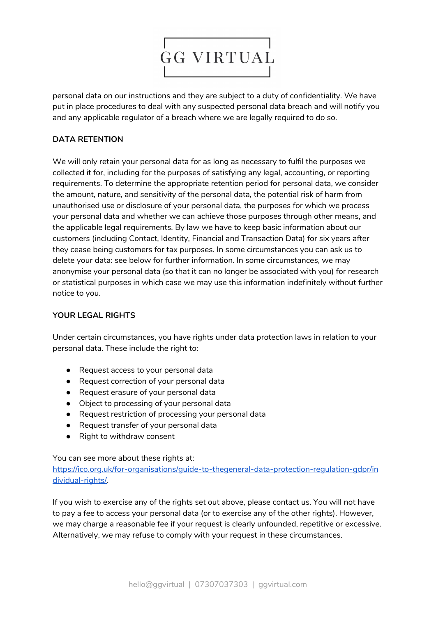

personal data on our instructions and they are subject to a duty of confidentiality. We have put in place procedures to deal with any suspected personal data breach and will notify you and any applicable regulator of a breach where we are legally required to do so.

# **DATA RETENTION**

We will only retain your personal data for as long as necessary to fulfil the purposes we collected it for, including for the purposes of satisfying any legal, accounting, or reporting requirements. To determine the appropriate retention period for personal data, we consider the amount, nature, and sensitivity of the personal data, the potential risk of harm from unauthorised use or disclosure of your personal data, the purposes for which we process your personal data and whether we can achieve those purposes through other means, and the applicable legal requirements. By law we have to keep basic information about our customers (including Contact, Identity, Financial and Transaction Data) for six years after they cease being customers for tax purposes. In some circumstances you can ask us to delete your data: see below for further information. In some circumstances, we may anonymise your personal data (so that it can no longer be associated with you) for research or statistical purposes in which case we may use this information indefinitely without further notice to you.

#### **YOUR LEGAL RIGHTS**

Under certain circumstances, you have rights under data protection laws in relation to your personal data. These include the right to:

- Request access to your personal data
- Request correction of your personal data
- Request erasure of your personal data
- Object to processing of your personal data
- Request restriction of processing your personal data
- Request transfer of your personal data
- Right to withdraw consent

You can see more about these rights at:

[https://ico.org.uk/for-organisations/guide-to-thegeneral-data-protection-regulation-gdpr/in](https://ico.org.uk/for-organisations/guide-to-thegeneral-data-protection-regulation-gdpr/individual-rights/) [dividual-rights/](https://ico.org.uk/for-organisations/guide-to-thegeneral-data-protection-regulation-gdpr/individual-rights/).

If you wish to exercise any of the rights set out above, please contact us. You will not have to pay a fee to access your personal data (or to exercise any of the other rights). However, we may charge a reasonable fee if your request is clearly unfounded, repetitive or excessive. Alternatively, we may refuse to comply with your request in these circumstances.